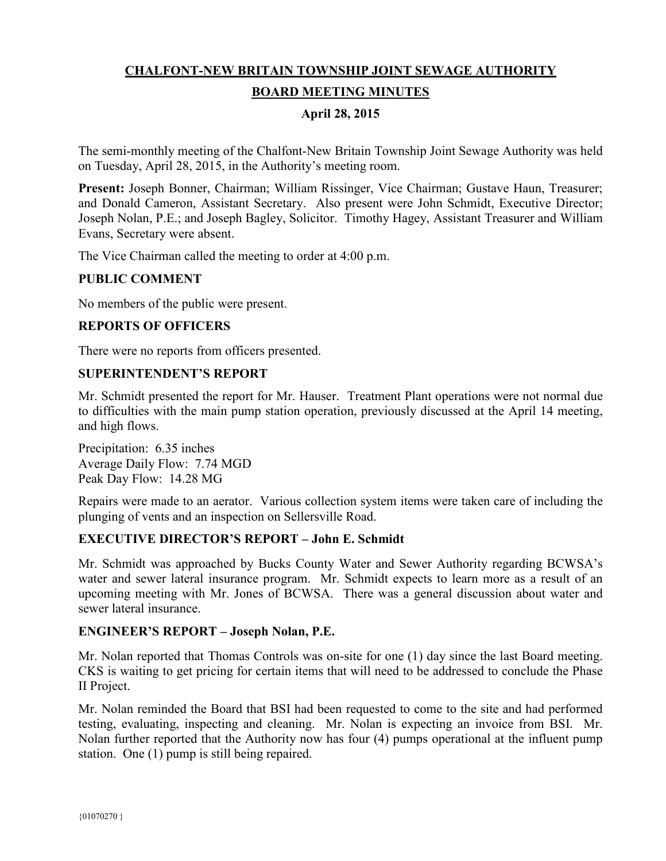# **CHALFONT-NEW BRITAIN TOWNSHIP JOINT SEWAGE AUTHORITY BOARD MEETING MINUTES**

## **April 28, 2015**

The semi-monthly meeting of the Chalfont-New Britain Township Joint Sewage Authority was held on Tuesday, April 28, 2015, in the Authority's meeting room.

**Present:** Joseph Bonner, Chairman; William Rissinger, Vice Chairman; Gustave Haun, Treasurer; and Donald Cameron, Assistant Secretary. Also present were John Schmidt, Executive Director; Joseph Nolan, P.E.; and Joseph Bagley, Solicitor. Timothy Hagey, Assistant Treasurer and William Evans, Secretary were absent.

The Vice Chairman called the meeting to order at 4:00 p.m.

### **PUBLIC COMMENT**

No members of the public were present.

## **REPORTS OF OFFICERS**

There were no reports from officers presented.

#### **SUPERINTENDENT'S REPORT**

Mr. Schmidt presented the report for Mr. Hauser. Treatment Plant operations were not normal due to difficulties with the main pump station operation, previously discussed at the April 14 meeting, and high flows.

Precipitation: 6.35 inches Average Daily Flow: 7.74 MGD Peak Day Flow: 14.28 MG

Repairs were made to an aerator. Various collection system items were taken care of including the plunging of vents and an inspection on Sellersville Road.

#### **EXECUTIVE DIRECTOR'S REPORT – John E. Schmidt**

Mr. Schmidt was approached by Bucks County Water and Sewer Authority regarding BCWSA's water and sewer lateral insurance program. Mr. Schmidt expects to learn more as a result of an upcoming meeting with Mr. Jones of BCWSA. There was a general discussion about water and sewer lateral insurance.

#### **ENGINEER'S REPORT – Joseph Nolan, P.E.**

Mr. Nolan reported that Thomas Controls was on-site for one (1) day since the last Board meeting. CKS is waiting to get pricing for certain items that will need to be addressed to conclude the Phase II Project.

Mr. Nolan reminded the Board that BSI had been requested to come to the site and had performed testing, evaluating, inspecting and cleaning. Mr. Nolan is expecting an invoice from BSI. Mr. Nolan further reported that the Authority now has four (4) pumps operational at the influent pump station. One (1) pump is still being repaired.